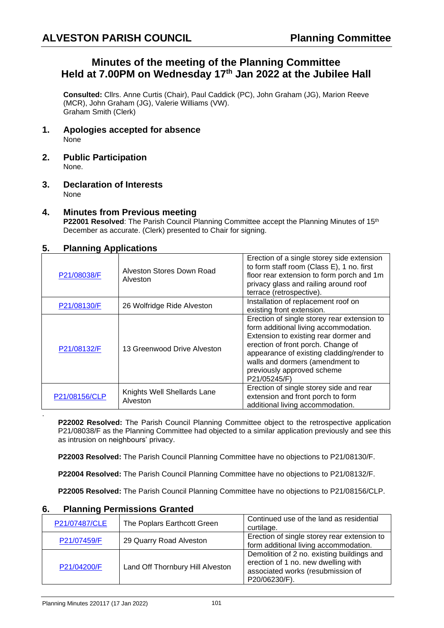# **Minutes of the meeting of the Planning Committee Held at 7.00PM on Wednesday 17 th Jan 2022 at the Jubilee Hall**

**Consulted:** Cllrs. Anne Curtis (Chair), Paul Caddick (PC), John Graham (JG), Marion Reeve (MCR), John Graham (JG), Valerie Williams (VW). Graham Smith (Clerk)

- **1. Apologies accepted for absence** None
- **2. Public Participation** None.
- **3. Declaration of Interests** None

### **4. Minutes from Previous meeting**

**P22001 Resolved**: The Parish Council Planning Committee accept the Planning Minutes of 15<sup>th</sup> December as accurate. (Clerk) presented to Chair for signing.

#### **5. Planning Applications**

| P21/08038/F   | Alveston Stores Down Road<br>Alveston   | Erection of a single storey side extension<br>to form staff room (Class E), 1 no. first<br>floor rear extension to form porch and 1m<br>privacy glass and railing around roof<br>terrace (retrospective).                                                                                         |
|---------------|-----------------------------------------|---------------------------------------------------------------------------------------------------------------------------------------------------------------------------------------------------------------------------------------------------------------------------------------------------|
| P21/08130/F   | 26 Wolfridge Ride Alveston              | Installation of replacement roof on<br>existing front extension.                                                                                                                                                                                                                                  |
| P21/08132/F   | 13 Greenwood Drive Alveston             | Erection of single storey rear extension to<br>form additional living accommodation.<br>Extension to existing rear dormer and<br>erection of front porch. Change of<br>appearance of existing cladding/render to<br>walls and dormers (amendment to<br>previously approved scheme<br>P21/05245/F) |
| P21/08156/CLP | Knights Well Shellards Lane<br>Alveston | Erection of single storey side and rear<br>extension and front porch to form<br>additional living accommodation.                                                                                                                                                                                  |

**P22002 Resolved:** The Parish Council Planning Committee object to the retrospective application P21/08038/F as the Planning Committee had objected to a similar application previously and see this as intrusion on neighbours' privacy.

**P22003 Resolved:** The Parish Council Planning Committee have no objections to P21/08130/F.

**P22004 Resolved:** The Parish Council Planning Committee have no objections to P21/08132/F.

**P22005 Resolved:** The Parish Council Planning Committee have no objections to P21/08156/CLP.

| $\ldots$      |                                  |                                                                                                                                         |  |  |
|---------------|----------------------------------|-----------------------------------------------------------------------------------------------------------------------------------------|--|--|
| P21/07487/CLE | The Poplars Earthcott Green      | Continued use of the land as residential<br>curtilage.                                                                                  |  |  |
| P21/07459/F   | 29 Quarry Road Alveston          | Erection of single storey rear extension to<br>form additional living accommodation.                                                    |  |  |
| P21/04200/F   | Land Off Thornbury Hill Alveston | Demolition of 2 no. existing buildings and<br>erection of 1 no. new dwelling with<br>associated works (resubmission of<br>P20/06230/F). |  |  |

#### **6. Planning Permissions Granted**

.